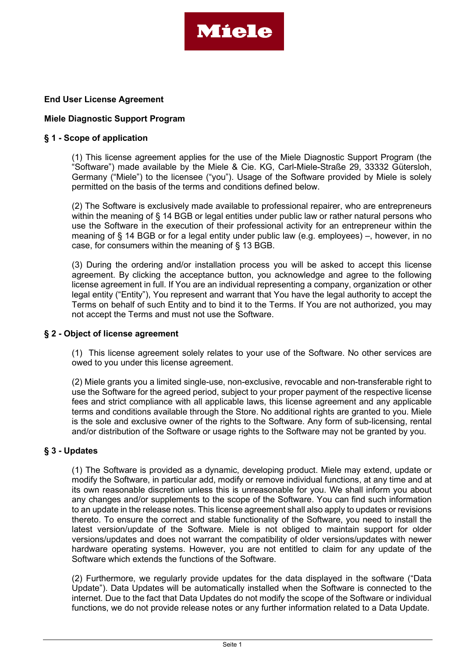

# End User License Agreement

# Miele Diagnostic Support Program

# § 1 - Scope of application

(1) This license agreement applies for the use of the Miele Diagnostic Support Program (the "Software") made available by the Miele & Cie. KG, Carl-Miele-Straße 29, 33332 Gütersloh, Germany ("Miele") to the licensee ("you"). Usage of the Software provided by Miele is solely permitted on the basis of the terms and conditions defined below.

(2) The Software is exclusively made available to professional repairer, who are entrepreneurs within the meaning of § 14 BGB or legal entities under public law or rather natural persons who use the Software in the execution of their professional activity for an entrepreneur within the meaning of § 14 BGB or for a legal entity under public law (e.g. employees) –, however, in no case, for consumers within the meaning of § 13 BGB.

(3) During the ordering and/or installation process you will be asked to accept this license agreement. By clicking the acceptance button, you acknowledge and agree to the following license agreement in full. If You are an individual representing a company, organization or other legal entity ("Entity"), You represent and warrant that You have the legal authority to accept the Terms on behalf of such Entity and to bind it to the Terms. If You are not authorized, you may not accept the Terms and must not use the Software.

### § 2 - Object of license agreement

(1) This license agreement solely relates to your use of the Software. No other services are owed to you under this license agreement.

(2) Miele grants you a limited single-use, non-exclusive, revocable and non-transferable right to use the Software for the agreed period, subject to your proper payment of the respective license fees and strict compliance with all applicable laws, this license agreement and any applicable terms and conditions available through the Store. No additional rights are granted to you. Miele is the sole and exclusive owner of the rights to the Software. Any form of sub-licensing, rental and/or distribution of the Software or usage rights to the Software may not be granted by you.

# § 3 - Updates

(1) The Software is provided as a dynamic, developing product. Miele may extend, update or modify the Software, in particular add, modify or remove individual functions, at any time and at its own reasonable discretion unless this is unreasonable for you. We shall inform you about any changes and/or supplements to the scope of the Software. You can find such information to an update in the release notes. This license agreement shall also apply to updates or revisions thereto. To ensure the correct and stable functionality of the Software, you need to install the latest version/update of the Software. Miele is not obliged to maintain support for older versions/updates and does not warrant the compatibility of older versions/updates with newer hardware operating systems. However, you are not entitled to claim for any update of the Software which extends the functions of the Software.

(2) Furthermore, we regularly provide updates for the data displayed in the software ("Data Update"). Data Updates will be automatically installed when the Software is connected to the internet. Due to the fact that Data Updates do not modify the scope of the Software or individual functions, we do not provide release notes or any further information related to a Data Update.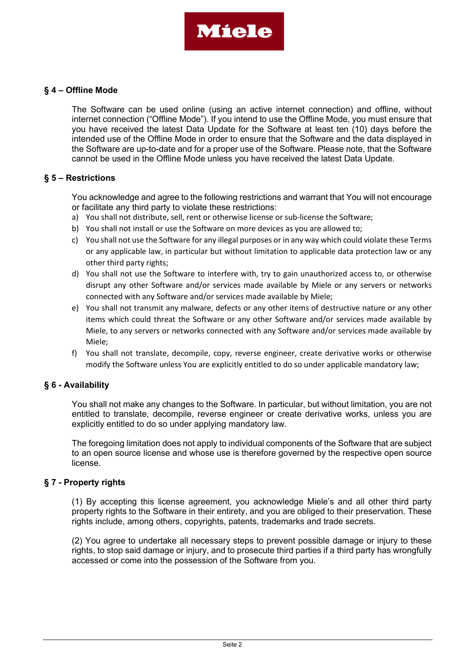

# § 4 – Offline Mode

The Software can be used online (using an active internet connection) and offline, without internet connection ("Offline Mode"). If you intend to use the Offline Mode, you must ensure that you have received the latest Data Update for the Software at least ten (10) days before the intended use of the Offline Mode in order to ensure that the Software and the data displayed in the Software are up-to-date and for a proper use of the Software. Please note, that the Software cannot be used in the Offline Mode unless you have received the latest Data Update.

### § 5 – Restrictions

You acknowledge and agree to the following restrictions and warrant that You will not encourage or facilitate any third party to violate these restrictions:

- a) You shall not distribute, sell, rent or otherwise license or sub-license the Software;
- b) You shall not install or use the Software on more devices as you are allowed to;
- c) You shall not use the Software for any illegal purposes or in any way which could violate these Terms or any applicable law, in particular but without limitation to applicable data protection law or any other third party rights;
- d) You shall not use the Software to interfere with, try to gain unauthorized access to, or otherwise disrupt any other Software and/or services made available by Miele or any servers or networks connected with any Software and/or services made available by Miele;
- e) You shall not transmit any malware, defects or any other items of destructive nature or any other items which could threat the Software or any other Software and/or services made available by Miele, to any servers or networks connected with any Software and/or services made available by Miele;
- f) You shall not translate, decompile, copy, reverse engineer, create derivative works or otherwise modify the Software unless You are explicitly entitled to do so under applicable mandatory law;

# § 6 - Availability

You shall not make any changes to the Software. In particular, but without limitation, you are not entitled to translate, decompile, reverse engineer or create derivative works, unless you are explicitly entitled to do so under applying mandatory law.

The foregoing limitation does not apply to individual components of the Software that are subject to an open source license and whose use is therefore governed by the respective open source license.

# § 7 - Property rights

(1) By accepting this license agreement, you acknowledge Miele's and all other third party property rights to the Software in their entirety, and you are obliged to their preservation. These rights include, among others, copyrights, patents, trademarks and trade secrets.

(2) You agree to undertake all necessary steps to prevent possible damage or injury to these rights, to stop said damage or injury, and to prosecute third parties if a third party has wrongfully accessed or come into the possession of the Software from you.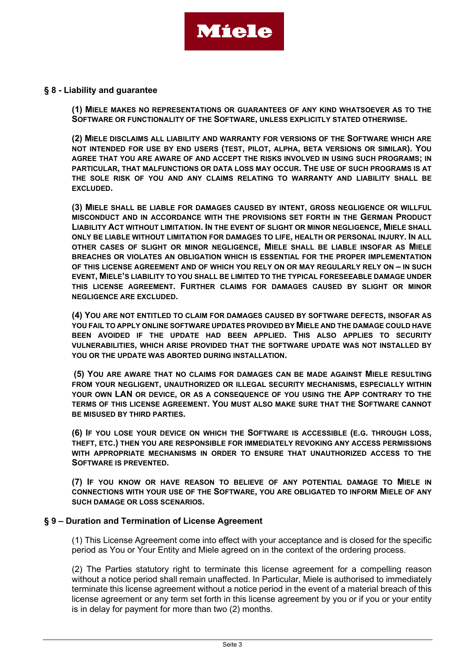

### § 8 - Liability and guarantee

(1) MIELE MAKES NO REPRESENTATIONS OR GUARANTEES OF ANY KIND WHATSOEVER AS TO THE SOFTWARE OR FUNCTIONALITY OF THE SOFTWARE, UNLESS EXPLICITLY STATED OTHERWISE.

(2) MIELE DISCLAIMS ALL LIABILITY AND WARRANTY FOR VERSIONS OF THE SOFTWARE WHICH ARE NOT INTENDED FOR USE BY END USERS (TEST, PILOT, ALPHA, BETA VERSIONS OR SIMILAR). YOU AGREE THAT YOU ARE AWARE OF AND ACCEPT THE RISKS INVOLVED IN USING SUCH PROGRAMS; IN PARTICULAR, THAT MALFUNCTIONS OR DATA LOSS MAY OCCUR. THE USE OF SUCH PROGRAMS IS AT THE SOLE RISK OF YOU AND ANY CLAIMS RELATING TO WARRANTY AND LIABILITY SHALL BE EXCLUDED.

(3) MIELE SHALL BE LIABLE FOR DAMAGES CAUSED BY INTENT, GROSS NEGLIGENCE OR WILLFUL MISCONDUCT AND IN ACCORDANCE WITH THE PROVISIONS SET FORTH IN THE GERMAN PRODUCT LIABILITY ACT WITHOUT LIMITATION. IN THE EVENT OF SLIGHT OR MINOR NEGLIGENCE, MIELE SHALL ONLY BE LIABLE WITHOUT LIMITATION FOR DAMAGES TO LIFE, HEALTH OR PERSONAL INJURY. IN ALL OTHER CASES OF SLIGHT OR MINOR NEGLIGENCE, MIELE SHALL BE LIABLE INSOFAR AS MIELE BREACHES OR VIOLATES AN OBLIGATION WHICH IS ESSENTIAL FOR THE PROPER IMPLEMENTATION OF THIS LICENSE AGREEMENT AND OF WHICH YOU RELY ON OR MAY REGULARLY RELY ON – IN SUCH EVENT, MIELE'S LIABILITY TO YOU SHALL BE LIMITED TO THE TYPICAL FORESEEABLE DAMAGE UNDER THIS LICENSE AGREEMENT. FURTHER CLAIMS FOR DAMAGES CAUSED BY SLIGHT OR MINOR NEGLIGENCE ARE EXCLUDED.

(4) YOU ARE NOT ENTITLED TO CLAIM FOR DAMAGES CAUSED BY SOFTWARE DEFECTS, INSOFAR AS YOU FAIL TO APPLY ONLINE SOFTWARE UPDATES PROVIDED BY MIELE AND THE DAMAGE COULD HAVE BEEN AVOIDED IF THE UPDATE HAD BEEN APPLIED. THIS ALSO APPLIES TO SECURITY VULNERABILITIES, WHICH ARISE PROVIDED THAT THE SOFTWARE UPDATE WAS NOT INSTALLED BY YOU OR THE UPDATE WAS ABORTED DURING INSTALLATION.

(5) YOU ARE AWARE THAT NO CLAIMS FOR DAMAGES CAN BE MADE AGAINST MIELE RESULTING FROM YOUR NEGLIGENT, UNAUTHORIZED OR ILLEGAL SECURITY MECHANISMS, ESPECIALLY WITHIN YOUR OWN LAN OR DEVICE, OR AS A CONSEQUENCE OF YOU USING THE APP CONTRARY TO THE TERMS OF THIS LICENSE AGREEMENT. YOU MUST ALSO MAKE SURE THAT THE SOFTWARE CANNOT BE MISUSED BY THIRD PARTIES.

(6) IF YOU LOSE YOUR DEVICE ON WHICH THE SOFTWARE IS ACCESSIBLE (E.G. THROUGH LOSS, THEFT, ETC.) THEN YOU ARE RESPONSIBLE FOR IMMEDIATELY REVOKING ANY ACCESS PERMISSIONS WITH APPROPRIATE MECHANISMS IN ORDER TO ENSURE THAT UNAUTHORIZED ACCESS TO THE SOFTWARE IS PREVENTED.

(7) IF YOU KNOW OR HAVE REASON TO BELIEVE OF ANY POTENTIAL DAMAGE TO MIELE IN CONNECTIONS WITH YOUR USE OF THE SOFTWARE, YOU ARE OBLIGATED TO INFORM MIELE OF ANY SUCH DAMAGE OR LOSS SCENARIOS.

### § 9 – Duration and Termination of License Agreement

(1) This License Agreement come into effect with your acceptance and is closed for the specific period as You or Your Entity and Miele agreed on in the context of the ordering process.

(2) The Parties statutory right to terminate this license agreement for a compelling reason without a notice period shall remain unaffected. In Particular, Miele is authorised to immediately terminate this license agreement without a notice period in the event of a material breach of this license agreement or any term set forth in this license agreement by you or if you or your entity is in delay for payment for more than two (2) months.